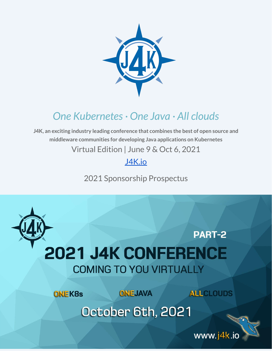

# *One Kubernetes· One Java · All clouds*

**J4K, an exciting industry leading conference that combines the best of open source and middleware communities for developing Java applications on Kubernetes** Virtual Edition | June 9 & Oct 6, 2021

[J4K.io](https://j4k.io)

2021 Sponsorship Prospectus



www.j4k.io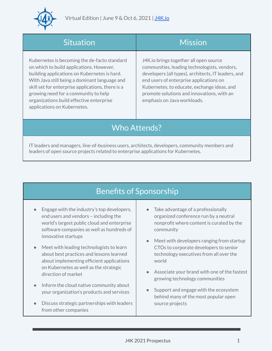

| Situation                                                                                                                                                                                                                                                                                                                                                         | <b>Mission</b>                                                                                                                                                                                                                                                                                                       |
|-------------------------------------------------------------------------------------------------------------------------------------------------------------------------------------------------------------------------------------------------------------------------------------------------------------------------------------------------------------------|----------------------------------------------------------------------------------------------------------------------------------------------------------------------------------------------------------------------------------------------------------------------------------------------------------------------|
| Kubernetes is becoming the de-facto standard<br>on which to build applications. However,<br>building applications on Kubernetes is hard.<br>With Java still being a dominant language and<br>skill set for enterprise applications, there is a<br>growing need for a community to help<br>organizations build effective enterprise<br>applications on Kubernetes. | J4K.io brings together all open source<br>communities, leading technologists, vendors,<br>developers (all types), architects, IT leaders, and<br>end users of enterprise applications on<br>Kubernetes, to educate, exchange ideas, and<br>promote solutions and innovations, with an<br>emphasis on Java workloads. |
| <b>Who Attends?</b>                                                                                                                                                                                                                                                                                                                                               |                                                                                                                                                                                                                                                                                                                      |

IT leaders and managers, line-of-business users, architects, developers, community members and leaders of open source projects related to enterprise applications for Kubernetes.

## Benefits of Sponsorship

- Engage with the industry's top developers, end users and vendors – including the world's largest public cloud and enterprise software companies as well as hundreds of innovative startups
- Meet with leading technologists to learn about best practices and lessons learned about implementing efficient applications on Kubernetes as well as the strategic direction of market
- Inform the cloud native community about your organization's products and services
- Discuss strategic partnerships with leaders from other companies
- Take advantage of a professionally organized conference run by a neutral nonprofit where content is curated by the community
- Meet with developers ranging from startup CTOs to corporate developers to senior technology executives from all over the world
- Associate your brand with one of the fastest growing technology communities
- Support and engage with the ecosystem behind many of the most popular open source projects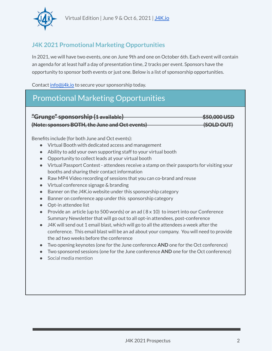

### **J4K 2021 Promotional Marketing Opportunities**

In 2021, we will have two events, one on June 9th and one on October 6th. Each event will contain an agenda for at least half a day of presentation time, 2 tracks per event. Sponsors have the opportunity to sponsor both events or just one. Below is a list of sponsorship opportunities.

Contact [info@j4k.io](mailto:info@j4k.io) to secure your sponsorship today.

## Promotional Marketing Opportunities



Benefits include (for both June and Oct events):

- Virtual Booth with dedicated access and management
- Ability to add your own supporting staff to your virtual booth
- Opportunity to collect leads at your virtual booth
- Virtual Passport Contest attendees receive a stamp on their passports for visiting your booths and sharing their contact information
- Raw MP4 Video recording of sessions that you can co-brand and reuse
- Virtual conference signage & branding
- Banner on the J4K.io website under this sponsorship category
- Banner on conference app under this sponsorship category
- Opt-in attendee list
- Provide an article (up to 500 words) or an ad  $(8 \times 10)$  to insert into our Conference Summary Newsletter that will go out to all opt-in attendees, post-conference
- $\bullet$  J4K will send out 1 email blast, which will go to all the attendees a week after the conference. This email blast will be an ad about your company. You will need to provide the ad two weeks before the conference
- Two opening keynotes (one for the June conference **AND** one for the Oct conference)
- Two sponsored sessions (one for the June conference **AND** one for the Oct conference)
- Social media mention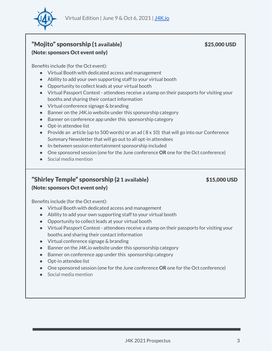

### "Mojito" sponsorship (1 available) \$25,000 USD (Note: sponsors Oct event only)

Benefits include (for the Oct event):

- Virtual Booth with dedicated access and management
- Ability to add your own supporting staff to your virtual booth
- Opportunity to collect leads at your virtual booth
- Virtual Passport Contest attendees receive a stamp on their passports for visiting your booths and sharing their contact information
- Virtual conference signage & branding
- Banner on the J4K.io website under this sponsorship category
- Banner on conference app under this sponsorship category
- Opt-in attendee list
- Provide an article (up to 500 words) or an ad ( $8 \times 10$ ) that will go into our Conference Summary Newsletter that will go out to all opt-in attendees
- In-between session entertainment sponsorship included
- One sponsored session (one for the June conference **OR** one for the Oct conference)
- Social media mention

#### "Shirley Temple" sponsorship (2 1 available) \$15,000 USD (Note: sponsors Oct event only)

Benefits include (for the Oct event):

- Virtual Booth with dedicated access and management
- Ability to add your own supporting staff to your virtual booth
- Opportunity to collect leads at your virtual booth
- Virtual Passport Contest attendees receive a stamp on their passports for visiting your booths and sharing their contact information
- Virtual conference signage & branding
- Banner on the J4K.io website under this sponsorship category
- Banner on conference app under this sponsorship category
- Opt-in attendee list
- One sponsored session (one for the June conference **OR** one for the Oct conference)
- $\bullet$  Social media mention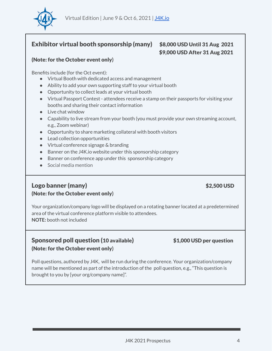

#### Exhibitor virtual booth sponsorship (many) \$8,000 USD Until 31 Aug 2021

# \$9,000 USD After 31 Aug 2021

#### (Note: for the October event only**)**

Benefits include (for the Oct event):

- Virtual Booth with dedicated access and management
- Ability to add your own supporting staff to your virtual booth
- Opportunity to collect leads at your virtual booth
- Virtual Passport Contest attendees receive a stamp on their passports for visiting your booths and sharing their contact information
- Live chat window
- Capability to live stream from your booth (you must provide your own streaming account, e.g., Zoom webinar)
- Opportunity to share marketing collateral with booth visitors
- Lead collection opportunities
- Virtual conference signage & branding
- Banner on the J4K.io website under this sponsorship category
- Banner on conference app under this sponsorship category
- Social media mention

#### Logo banner (many) \$2,500 USD (Note: for the October event only**)**

Your organization/company logo will be displayed on a rotating banner located at a predetermined area of the virtual conference platform visible to attendees. **NOTE:** booth not included

#### Sponsored poll question (10 available) \$1,000 USD per question (Note: for the October event only**)**

Poll questions, authored by J4K, will be run during the conference. Your organization/company name will be mentioned as part of the introduction of the poll question, e.g., "This question is brought to you by [your org/company name]".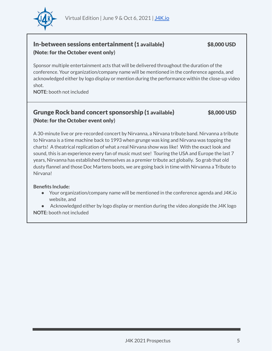

#### In-between sessions entertainment (1 available) \$8,000 USD (Note: for the October event only**)**

Sponsor multiple entertainment acts that will be delivered throughout the duration of the conference. Your organization/company name will be mentioned in the conference agenda, and acknowledged either by logo display or mention during the performance within the close-up video shot.

**NOTE:** booth not included

#### Grunge Rock band concert sponsorship (1 available) \$8,000 USD (Note: for the October event only**)**

A 30-minute live or pre-recorded concert by Nirvanna, a Nirvana tribute band. Nirvanna a tribute to Nirvana is a time machine back to 1993 when grunge was king and Nirvana was topping the charts! A theatrical replication of what a real Nirvana show was like! With the exact look and sound, this is an experience every fan of music must see! Touring the USA and Europe the last 7 years, Nirvanna has established themselves as a premier tribute act globally. So grab that old dusty flannel and those Doc Martens boots, we are going back in time with Nirvanna a Tribute to Nirvana!

#### **Benefits Include:**

● Your organization/company name will be mentioned in the conference agenda and J4K.io website, and

● Acknowledged either by logo display or mention during the video alongside the J4K logo **NOTE:** booth not included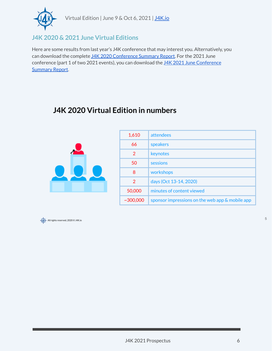

### **J4K 2020 & 2021 June Virtual Editions**

Here are some results from last year's J4K conference that may interest you. Alternatively, you can download the complete J4K 2020 [Conference](https://89062066-34f4-4ea7-abf5-f453c30e91b1.filesusr.com/ugd/7867a1_303e78961a254367ab777eb21f32067a.pdf) Summary Report. For the 2021 June conference (part 1 of two 2021 events), you can download the J4K 2021 June [Conference](https://89062066-34f4-4ea7-abf5-f453c30e91b1.filesusr.com/ugd/7867a1_de773fc5feb04e48b6c81103973ec250.pdf) [Summary](https://89062066-34f4-4ea7-abf5-f453c30e91b1.filesusr.com/ugd/7867a1_de773fc5feb04e48b6c81103973ec250.pdf) Report.

## J4K 2020 Virtual Edition in numbers



| 1,610          | attendees                                       |
|----------------|-------------------------------------------------|
| 66             | speakers                                        |
| 2              | keynotes                                        |
| 50             | sessions                                        |
| 8              | workshops                                       |
| 2              | days (Oct 13-14, 2020)                          |
| 50,000         | minutes of content viewed                       |
| $~1$ - 300.000 | sponsor impressions on the web app & mobile app |



 $\,$  5